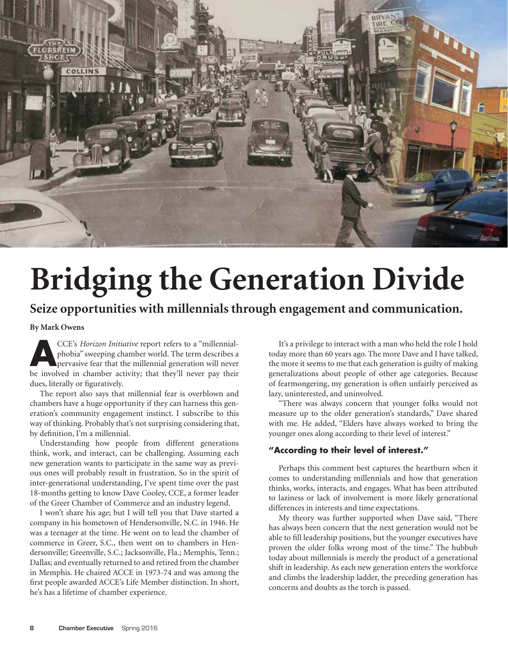

# **Bridging the Generation Divide**

# **Seize opportunities with millennials through engagement and communication.**

**By Mark Owens**

**ACCE's** *Horizon Initiative* report refers to a "millennial-<br>phobia" sweeping chamber world. The term describes a<br>pervasive fear that the millennial generation will never<br>be involved in earthcome, activity that they'll ne phobia" sweeping chamber world. The term describes a be involved in chamber activity; that they'll never pay their dues, literally or figuratively.

The report also says that millennial fear is overblown and chambers have a huge opportunity if they can harness this generation's community engagement instinct. I subscribe to this way of thinking. Probably that's not surprising considering that, by definition, I'm a millennial.

Understanding how people from different generations think, work, and interact, can be challenging. Assuming each new generation wants to participate in the same way as previous ones will probably result in frustration. So in the spirit of inter-generational understanding, I've spent time over the past 18-months getting to know Dave Cooley, CCE, a former leader of the Greer Chamber of Commerce and an industry legend.

I won't share his age; but I will tell you that Dave started a company in his hometown of Hendersonville, N.C. in 1946. He was a teenager at the time. He went on to lead the chamber of commerce in Greer, S.C., then went on to chambers in Hendersonville; Greenville, S.C.; Jacksonville, Fla.; Memphis, Tenn.; Dallas; and eventually returned to and retired from the chamber in Memphis. He chaired ACCE in 1973-74 and was among the first people awarded ACCE's Life Member distinction. In short, he's has a lifetime of chamber experience.

It's a privilege to interact with a man who held the role I hold today more than 60 years ago. The more Dave and I have talked, the more it seems to me that each generation is guilty of making generalizations about people of other age categories. Because of fearmongering, my generation is often unfairly perceived as lazy, uninterested, and uninvolved.

"There was always concern that younger folks would not measure up to the older generation's standards," Dave shared with me. He added, "Elders have always worked to bring the younger ones along according to their level of interest."

# **"According to their level of interest."**

Perhaps this comment best captures the heartburn when it comes to understanding millennials and how that generation thinks, works, interacts, and engages. What has been attributed to laziness or lack of involvement is more likely generational differences in interests and time expectations.

My theory was further supported when Dave said, "There has always been concern that the next generation would not be able to fill leadership positions, but the younger executives have proven the older folks wrong most of the time." The hubbub today about millennials is merely the product of a generational shift in leadership. As each new generation enters the workforce and climbs the leadership ladder, the preceding generation has concerns and doubts as the torch is passed.